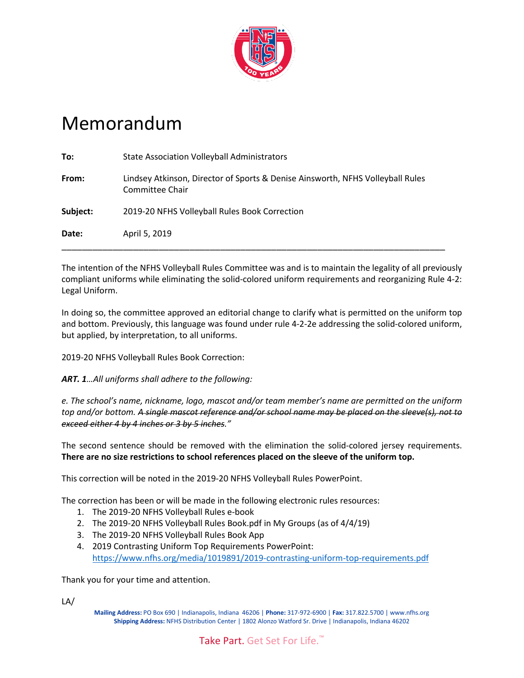

## Memorandum

| Date:    | April 5, 2019                                                                                     |
|----------|---------------------------------------------------------------------------------------------------|
| Subject: | 2019-20 NFHS Volleyball Rules Book Correction                                                     |
| From:    | Lindsey Atkinson, Director of Sports & Denise Ainsworth, NFHS Volleyball Rules<br>Committee Chair |
| To:      | <b>State Association Volleyball Administrators</b>                                                |

The intention of the NFHS Volleyball Rules Committee was and is to maintain the legality of all previously compliant uniforms while eliminating the solid-colored uniform requirements and reorganizing Rule 4-2: Legal Uniform.

In doing so, the committee approved an editorial change to clarify what is permitted on the uniform top and bottom. Previously, this language was found under rule 4-2-2e addressing the solid-colored uniform, but applied, by interpretation, to all uniforms.

2019-20 NFHS Volleyball Rules Book Correction:

*ART. 1…All uniforms shall adhere to the following:*

*e. The school's name, nickname, logo, mascot and/or team member's name are permitted on the uniform top and/or bottom. A single mascot reference and/or school name may be placed on the sleeve(s), not to exceed either 4 by 4 inches or 3 by 5 inches."*

The second sentence should be removed with the elimination the solid-colored jersey requirements. **There are no size restrictions to school references placed on the sleeve of the uniform top.**

This correction will be noted in the 2019-20 NFHS Volleyball Rules PowerPoint.

The correction has been or will be made in the following electronic rules resources:

- 1. The 2019-20 NFHS Volleyball Rules e-book
- 2. The 2019-20 NFHS Volleyball Rules Book.pdf in My Groups (as of 4/4/19)
- 3. The 2019-20 NFHS Volleyball Rules Book App
- 4. 2019 Contrasting Uniform Top Requirements PowerPoint: <https://www.nfhs.org/media/1019891/2019-contrasting-uniform-top-requirements.pdf>

Thank you for your time and attention.

LA/

**Mailing Address:** PO Box 690 | Indianapolis, Indiana 46206 | **Phone:** 317-972-6900 | **Fax:** 317.822.5700 | www.nfhs.org **Shipping Address:** NFHS Distribution Center | 1802 Alonzo Watford Sr. Drive | Indianapolis, Indiana 46202